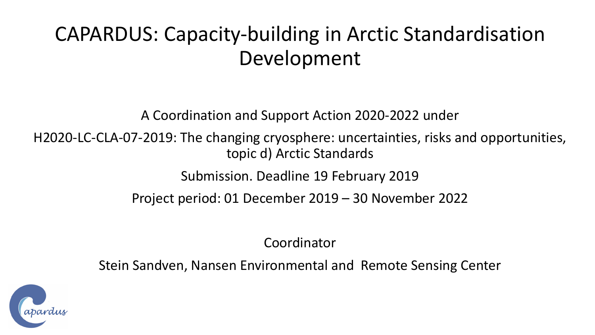## CAPARDUS: Capacity-building in Arctic Standardisation Development

A Coordination and Support Action 2020-2022 under

H2020-LC-CLA-07-2019: The changing cryosphere: uncertainties, risks and opportunities, topic d) Arctic Standards

Submission. Deadline 19 February 2019

Project period: 01 December 2019 – 30 November 2022

Coordinator

Stein Sandven, Nansen Environmental and Remote Sensing Center

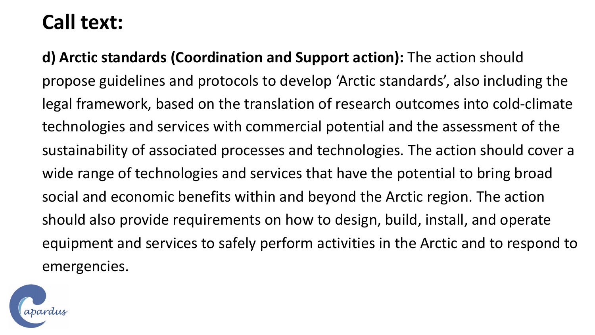## **Call text:**

**d) Arctic standards (Coordination and Support action):** The action should propose guidelines and protocols to develop 'Arctic standards', also including the legal framework, based on the translation of research outcomes into cold-climate technologies and services with commercial potential and the assessment of the sustainability of associated processes and technologies. The action should cover a wide range of technologies and services that have the potential to bring broad social and economic benefits within and beyond the Arctic region. The action should also provide requirements on how to design, build, install, and operate equipment and services to safely perform activities in the Arctic and to respond to emergencies.

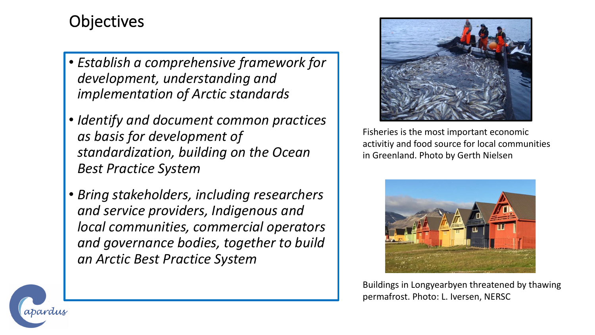## **Objectives**

- *Establish a comprehensive framework for development, understanding and implementation of Arctic standards*
- *Identify and document common practices as basis for development of standardization, building on the Ocean Best Practice System*
- *Bring stakeholders, including researchers and service providers, Indigenous and local communities, commercial operators and governance bodies, together to build an Arctic Best Practice System*



Fisheries is the most important economic activitiy and food source for local communities in Greenland. Photo by Gerth Nielsen



Buildings in Longyearbyen threatened by thawing permafrost. Photo: L. Iversen, NERSC